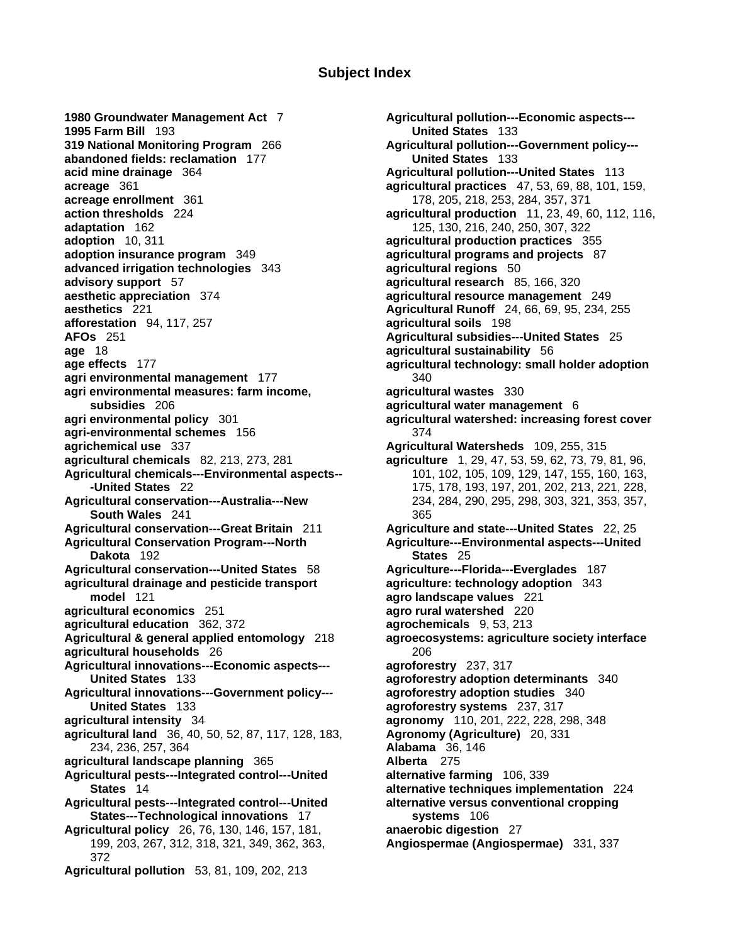## **Subject Index**

**1995 Farm Bill** 193 **United States** 133 **319 National Monitoring Program** 266 **Agricultural pollution---Government policy-- abandoned fields: reclamation** 177 **United States** 133 **acid mine drainage** 364 **Agricultural pollution---United States** 113 **acreage** 361 **agricultural practices** 47, 53, 69, 88, 101, 159, **acreage enrollment** 361 178, 205, 218, 253, 284, 357, 371 **action thresholds** 224 **agricultural production** 11, 23, 49, 60, 112, 116, **adaptation** 162 125, 130, 216, 240, 250, 307, 322 **adoption** 10, 311 **agricultural production practices** 355 **adoption insurance program** 349 **agricultural programs and projects** 87 **advanced irrigation technologies** 343 **agricultural regions** 50 **advisory support** 57 **agricultural research** 85, 166, 320 **aesthetic appreciation** 374 **agricultural resource management** 249 **aesthetics** 221 **Agricultural Runoff** 24, 66, 69, 95, 234, 255 **afforestation** 94, 117, 257 **agricultural soils** 198 **AFOs** 251 **Agricultural subsidies---United States** 25 **age** 18 **agricultural sustainability** 56 **age effects** 177 **agricultural technology: small holder adoption agri environmental management** 177 **340 agri environmental measures: farm income, agricultural wastes** 330 **subsidies** 206 **agricultural water management** 6 **agri environmental policy** 301 **agricultural watershed: increasing forest cover agri-environmental schemes** 156 374 **agrichemical use** 337 **Agricultural Watersheds** 109, 255, 315 **agricultural chemicals** 82, 213, 273, 281 **agriculture** 1, 29, 47, 53, 59, 62, 73, 79, 81, 96, **Agricultural chemicals---Environmental aspects--** 101, 102, 105, 109, 129, 147, 155, 160, 163, **Agricultural conservation---Australia---New** 234, 284, 290, 295, 298, 303, 321, 353, 357, **South Wales** 241 365 **Agricultural conservation---Great Britain** 211 **Agriculture and state---United States** 22, 25 Agricultural Conservation Program---North **Agriculture---Environmental aspects---United Dakota** 192 **States** 25 **Agricultural conservation---United States** 58 **Agriculture---Florida---Everglades** 187 **agricultural drainage and pesticide transport agriculture: technology adoption** 343 **model** 121 **agro landscape values** 221 **agricultural economics** 251 **agro rural watershed** 220 **agricultural education** 362, 372 **agrochemicals** 9, 53, 213 **Agricultural & general applied entomology** 218 **agroecosystems: agriculture society interface agricultural households** 26 **206** 206 **Agricultural innovations---Economic aspects--- agroforestry** 237, 317 **United States** 133 **agroforestry adoption determinants** 340 **Agricultural innovations---Government policy--- agroforestry adoption studies** 340 **United States** 133 **agroforestry systems** 237, 317 **agricultural intensity** 34 **agronomy** 110, 201, 222, 228, 298, 348 **agricultural land** 36, 40, 50, 52, 87, 117, 128, 183, **Agronomy (Agriculture)** 20, 331 234, 236, 257, 364 **Alabama** 36, 146 **agricultural landscape planning** 365 **Alberta** 275 **Agricultural pests---Integrated control---United alternative farming** 106, 339 **States** 14 **alternative techniques implementation** 224 **Agricultural pests---Integrated control---United alternative versus conventional cropping States---Technological innovations** 17 **systems** 106 **Agricultural policy** 26, 76, 130, 146, 157, 181, **anaerobic digestion** 27 199, 203, 267, 312, 318, 321, 349, 362, 363, **Angiospermae (Angiospermae)** 331, 337 372 **Agricultural pollution** 53, 81, 109, 202, 213

**1980 Groundwater Management Act** 7 **Agricultural pollution---Economic aspects--- -United States** 22 175, 178, 193, 197, 201, 202, 213, 221, 228,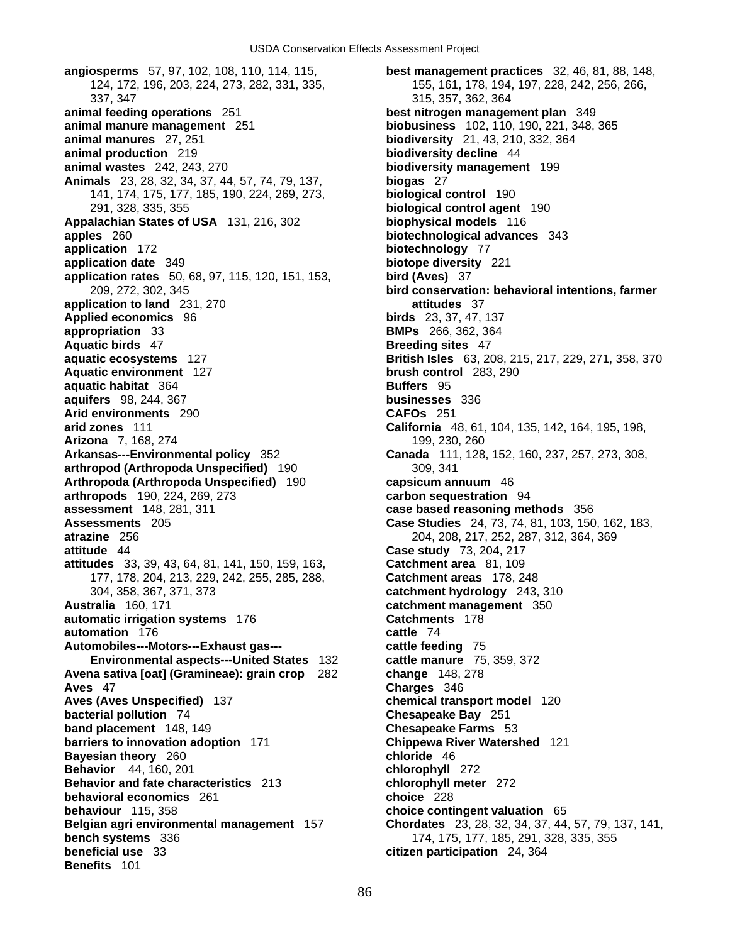337, 347 315, 357, 362, 364 **animal feeding operations** 251 **best nitrogen management plan** 349 **animal manure management** 251 **biobusiness** 102, 110, 190, 221, 348, 365 **animal manures** 27, 251 **biodiversity** 21, 43, 210, 332, 364 **animal production** 219 **biodiversity decline** 44 **animal wastes** 242, 243, 270 **biodiversity management** 199 **Animals** 23, 28, 32, 34, 37, 44, 57, 74, 79, 137, **biogas** 27 141, 174, 175, 177, 185, 190, 224, 269, 273, **biological control** 190 291, 328, 335, 355 **biological control agent** 190 **Appalachian States of USA** 131, 216, 302 **biophysical models** 116 **apples** 260 **biotechnological advances** 343 **application** 172 **biotechnology** 77 **application date** 349 **biotope diversity** 221 **application rates** 50, 68, 97, 115, 120, 151, 153, **bird (Aves)** 37 **application to land** 231, 270 **attitudes** 37 **Applied economics** 96 **birds** 23, 37, 47, 137 **appropriation** 33 **BMPs** 266, 362, 364 **Aquatic birds** 47 **Breeding sites** 47 **aquatic ecosystems** 127 **British Isles** 63, 208, 215, 217, 229, 271, 358, 370 **Aquatic environment** 127 **brush control** 283, 290 **aguatic habitat** 364 **Buffers** 95 **aquifers** 98, 244, 367 **businesses** 336 **Arid environments** 290 **CAFOs** 251 **arid zones** 111 **California** 48, 61, 104, 135, 142, 164, 195, 198, **Arizona** 7, 168, 274 199, 230, 260 **Arkansas---Environmental policy** 352 **Canada** 111, 128, 152, 160, 237, 257, 273, 308, **arthropod (Arthropoda Unspecified)** 190 309, 341 **Arthropoda (Arthropoda Unspecified)** 190 **capsicum annuum** 46 **arthropods** 190, 224, 269, 273 **carbon sequestration** 94 **assessment** 148, 281, 311 **case based reasoning methods** 356 **Assessments** 205 **Case Studies** 24, 73, 74, 81, 103, 150, 162, 183, **atrazine** 256 204, 208, 217, 252, 287, 312, 364, 369 **attitude** 44 **Case study** 73, 204, 217 **attitudes** 33, 39, 43, 64, 81, 141, 150, 159, 163, **Catchment area** 81, 109 177, 178, 204, 213, 229, 242, 255, 285, 288, **Catchment areas** 178, 248 304, 358, 367, 371, 373 **catchment hydrology** 243, 310 **Australia** 160, 171 **catchment management** 350 **automatic irrigation systems** 176 **Catchments** 178 **automation** 176 **cattle** 74 **Automobiles---Motors---Exhaust gas--- cattle feeding** 75 **Environmental aspects---United States** 132 **cattle manure** 75, 359, 372 **Avena sativa [oat] (Gramineae): grain crop** 282 **change** 148, 278 **Aves** 47 **Charges** 346 **Aves (Aves Unspecified)** 137 **chemical transport model** 120 **bacterial pollution** 74 **Chesapeake Bay** 251 **band placement** 148, 149 **Chesapeake Farms** 53 **barriers to innovation adoption** 171 **Chippewa River Watershed** 121 **Bayesian theory** 260 **Behavior** 44, 160, 201 **chlorophyll** 272 **Behavior and fate characteristics** 213 **chlorophyll meter** 272 **behavioral economics** 261 **choice** 228 **behaviour** 115, 358 **choice contingent valuation** 65 **Belgian agri environmental management** 157 **Chordates** 23, 28, 32, 34, 37, 44, 57, 79, 137, 141, **bench systems** 336 **bench systems** 336 **beneficial use** 33 **citizen participation** 24, 364 **Benefits** 101

**angiosperms** 57, 97, 102, 108, 110, 114, 115, **best management practices** 32, 46, 81, 88, 148, 124, 172, 196, 203, 224, 273, 282, 331, 335, 155, 161, 178, 194, 197, 228, 242, 256, 266, 209, 272, 302, 345 **bird conservation: behavioral intentions, farmer**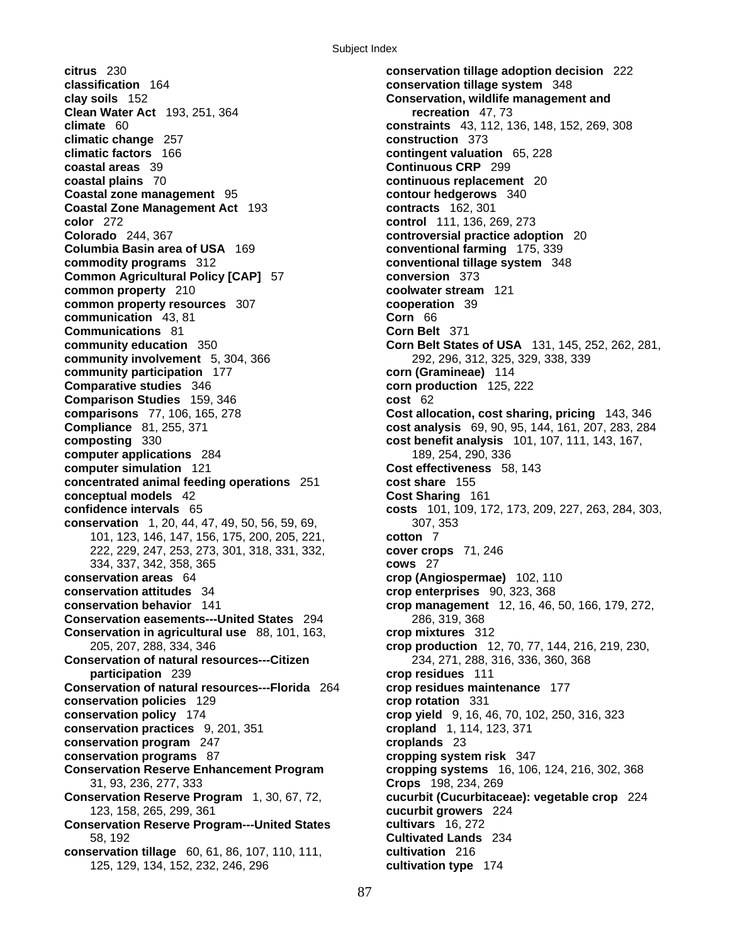**citrus** 230 **conservation tillage adoption decision** 222 **classification** 164 **conservation tillage system** 348 **clay soils** 152 **Conservation, wildlife management and Clean Water Act** 193, 251, 364 **recreation** 47, 73 **climate** 60 **constraints** 43, 112, 136, 148, 152, 269, 308 **climatic change** 257 **construction** 373 **climatic factors** 166 **contingent valuation** 65, 228 **coastal areas** 39 **Continuous CRP** 299 **coastal plains** 70 **continuous replacement** 20 **Coastal zone management** 95 **contour hedgerows** 340 **Coastal Zone Management Act** 193 **contracts** 162, 301 **color** 272 **control** 111, 136, 269, 273 **Colorado** 244, 367 **controversial practice adoption** 20 **Columbia Basin area of USA** 169 **conventional farming** 175, 339 **commodity programs** 312 **conventional tillage system** 348 **Common Agricultural Policy [CAP]** 57 **conversion** 373 **common property** 210 **coolwater stream** 121 **common property resources** 307 **cooperation** 39 **communication** 43, 81 **Corn** 66 **Communications** 81 **Community education** 350 **Corn Belt** 371 **Corn Belt** 371 **community involvement** 5, 304, 366 292, 296, 312, 325, 329, 338, 339 **community participation** 177 **corn (Gramineae)** 114 **Comparative studies** 346 **corn production** 125, 222 **Comparison Studies** 159, 346 **cost** 62<br> **comparisons** 77, 106, 165, 278 **cost allo Compliance** 81, 255, 371 **cost analysis** 69, 90, 95, 144, 161, 207, 283, 284 **composting** 330 **cost benefit analysis** 101, 107, 111, 143, 167, **computer applications** 284 189, 254, 290, 336 **computer simulation** 121 **Cost effectiveness** 58, 143 **concentrated animal feeding operations** 251 **cost share** 155 **conceptual models** 42 **Cost Sharing** 161 **confidence intervals** 65 **costs** 101, 109, 172, 173, 209, 227, 263, 284, 303, **conservation** 1, 20, 44, 47, 49, 50, 56, 59, 69, 307, 353 101, 123, 146, 147, 156, 175, 200, 205, 221, **cotton** 7 222, 229, 247, 253, 273, 301, 318, 331, 332, **cover crops** 71, 246 334, 337, 342, 358, 365 **cows** 27 **conservation areas** 64 **crop (Angiospermae)** 102, 110 **conservation attitudes** 34 **crop enterprises** 90, 323, 368 **conservation behavior** 141 **crop management** 12, 16, 46, 50, 166, 179, 272, **Conservation easements---United States** 294 286, 319, 368 **Conservation in agricultural use** 88, 101, 163, **crop mixtures** 312 **Conservation of natural resources---Citizen** 234, 271, 288, 316, 336, 360, 368 **participation** 239 **crop residues** 111 **Conservation of natural resources---Florida** 264 **crop residues maintenance** 177 **conservation policies** 129 **crop rotation** 331 **conservation policy** 174 **crop yield** 9, 16, 46, 70, 102, 250, 316, 323 **conservation practices** 9, 201, 351 **cropland** 1, 114, 123, 371 **conservation program** 247 **croplands** 23 **conservation programs** 87 **cropping system risk** 347 **Conservation Reserve Enhancement Program cropping systems** 16, 106, 124, 216, 302, 368 31, 93, 236, 277, 333 **Crops** 198, 234, 269 **Conservation Reserve Program** 1, 30, 67, 72, **cucurbit (Cucurbitaceae): vegetable crop** 224 123, 158, 265, 299, 361 **cucurbit growers** 224 **Conservation Reserve Program---United States cultivars** 16, 272 58, 192 **Cultivated Lands** 234 **conservation tillage** 60, 61, 86, 107, 110, 111, **cultivation** 216 125, 129, 134, 152, 232, 246, 296 **cultivation type** 174

**Corn Belt States of USA** 131, 145, 252, 262, 281, **Cost allocation, cost sharing, pricing** 143, 346 205, 207, 288, 334, 346 **crop production** 12, 70, 77, 144, 216, 219, 230,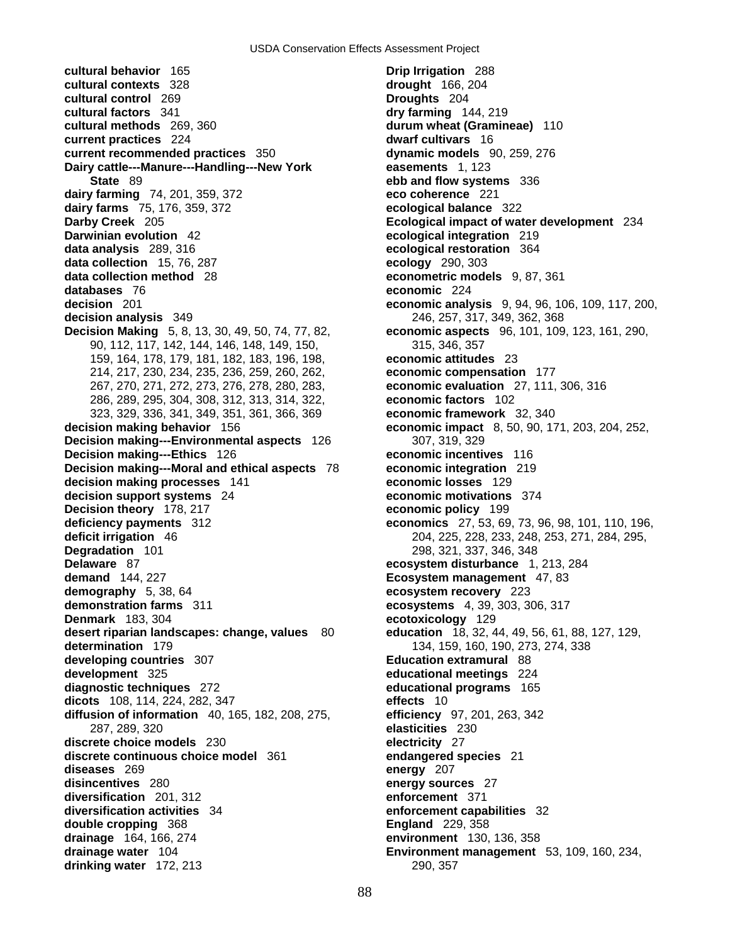**cultural behavior** 165 **Drip Irrigation** 288 **cultural contexts** 328 **drought** 166, 204 **cultural control** 269 **Droughts** 204 **cultural factors** 341 **dry farming** 144, 219 **cultural methods** 269, 360 **durum wheat (Gramineae)** 110 **current practices** 224 **dwarf cultivars** 16 **current recommended practices** 350 **dynamic models** 90, 259, 276 **Dairy cattle---Manure---Handling---New York easements** 1, 123 **State** 89 **ebb and flow systems** 336 **dairy farming** 74, 201, 359, 372 **eco coherence** 221 **dairy farms** 75, 176, 359, 372 **ecological balance** 322 **Darby Creek** 205 **Ecological impact of water development** 234 **Darwinian evolution** 42 **ecological integration** 219 **data analysis** 289, 316 **ecological restoration** 364 **data collection** 15, 76, 287 **ecology** 290, 303 **data collection method** 28 **econometric models** 9, 87, 361 **databases** 76 **economic** 224 **decision** 201 **economic analysis** 9, 94, 96, 106, 109, 117, 200, **decision analysis** 349 246, 257, 317, 349, 362, 368 **Decision Making** 5, 8, 13, 30, 49, 50, 74, 77, 82, **economic aspects** 96, 101, 109, 123, 161, 290, 90, 112, 117, 142, 144, 146, 148, 149, 150, 315, 346, 357 159, 164, 178, 179, 181, 182, 183, 196, 198, **economic attitudes** 23 214, 217, 230, 234, 235, 236, 259, 260, 262, **economic compensation** 177 267, 270, 271, 272, 273, 276, 278, 280, 283, **economic evaluation** 27, 111, 306, 316 286, 289, 295, 304, 308, 312, 313, 314, 322, **economic factors** 102 323, 329, 336, 341, 349, 351, 361, 366, 369 **economic framework** 32, 340 **decision making behavior** 156 **economic impact** 8, 50, 90, 171, 203, 204, 252, **Decision making---Environmental aspects** 126 307, 319, 329 **Decision making---Ethics** 126 **economic incentives** 116 **Decision making---Moral and ethical aspects** 78 **economic integration** 219 **decision making processes** 141 **economic losses** 129 **decision support systems** 24 **economic motivations** 374 **Decision theory** 178, 217 **economic policy** 199 **Decision theory** 178, 217 **deficiency payments** 312 **economics** 27, 53, 69, 73, 96, 98, 101, 110, 196, **deficit irrigation** 46 204, 225, 228, 233, 248, 253, 271, 284, 295, **Degradation** 101 298, 321, 337, 346, 348<br>**Delaware** 87 **Delaware** 87 **demand** 144, 227 **Ecosystem management** 47, 83 **demography** 5, 38, 64 **ecosystem recovery** 223 **demonstration farms** 311 **ecosystems** 4, 39, 303, 306, 317 **Denmark** 183, 304 **ecotoxicology** 129 **desert riparian landscapes: change, values** 80 **education** 18, 32, 44, 49, 56, 61, 88, 127, 129, **determination** 179 134, 159, 160, 190, 273, 274, 338 **developing countries** 307 **Education extramural** 88 **development** 325 **educational meetings** 224 **diagnostic techniques** 272 **educational programs** 165 **dicots** 108, 114, 224, 282, 347 **effects** 10 **diffusion of information** 40, 165, 182, 208, 275, **efficiency** 97, 201, 263, 342 287, 289, 320 **elasticities** 230 **discrete choice models** 230 **electricity** 27 **discrete continuous choice model** 361 **endangered species** 21 **diseases** 269 **energy** 207 **disincentives** 280 **energy sources** 27 **diversification** 201, 312 **enforcement** 371 **diversification activities** 34 **enforcement capabilities** 32 **double cropping** 368 **England** 229, 358 **drainage** 164, 166, 274 **environment** 130, 136, 358 **drainage water** 104 **Environment management** 53, 109, 160, 234, **drinking water** 172, 213 290, 257

**Delaware** 87 **ecosystem disturbance** 1, 213, 284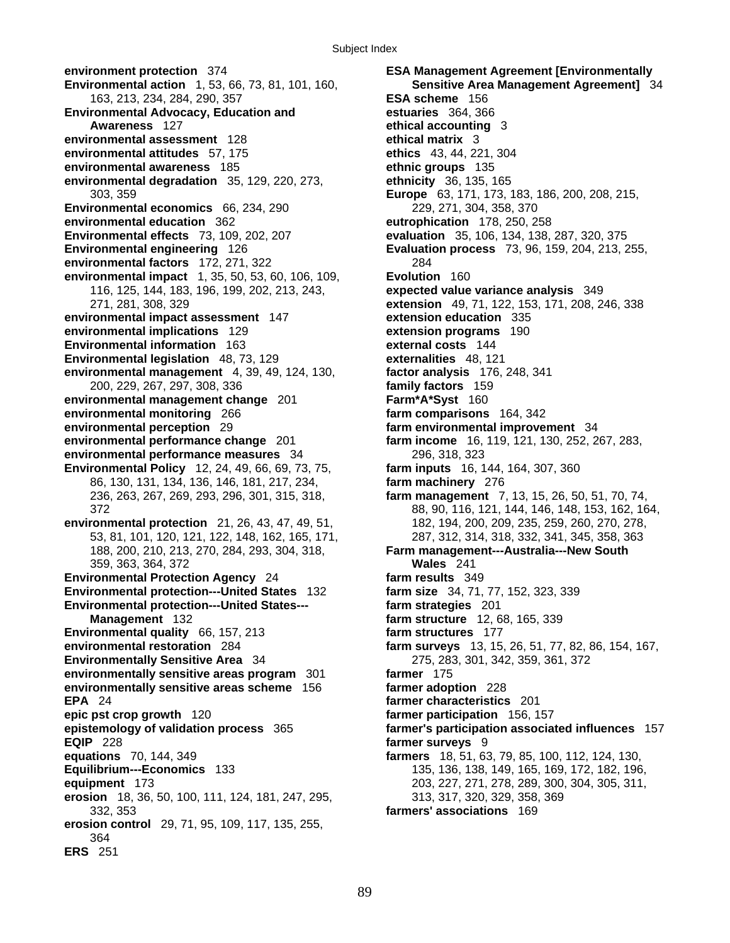**environment protection** 374 **ESA Management Agreement [Environmentally Environmental action** 1, 53, 66, 73, 81, 101, 160, **Sensitive Area Management Agreement]** 34 163, 213, 234, 284, 290, 357 **ESA scheme** 156 **Environmental Advocacy, Education and estuaries** 364, 366 **Awareness** 127 **ethical accounting** 3 **environmental assessment** 128 **ethical matrix** 3 **environmental attitudes** 57, 175 **ethics** 43, 44, 221, 304 **environmental awareness** 185 **ethnic groups** 135 **environmental degradation** 35, 129, 220, 273, **ethnicity** 36, 135, 165 **Environmental economics** 66, 234, 290 229, 271, 304, 358, 370 **environmental education** 362 **eutrophication** 178, 250, 258 **Environmental effects** 73, 109, 202, 207 **evaluation** 35, 106, 134, 138, 287, 320, 375 **Environmental engineering** 126 **Evaluation process** 73, 96, 159, 204, 213, 255, **environmental factors** 172, 271, 322 284 **environmental impact** 1, 35, 50, 53, 60, 106, 109, **Evolution** 160 116, 125, 144, 183, 196, 199, 202, 213, 243, **expected value variance analysis** 349 **environmental impact assessment** 147 **extension education** 335 **environmental implications** 129 **extension programs** 190 **Environmental information** 163 **external costs** 144 **Environmental legislation** 48, 73, 129 **externalities** 48, 121 **environmental management** 4, 39, 49, 124, 130, **factor analysis** 176, 248, 341 200, 229, 267, 297, 308, 336 **family factors** 159 **environmental management change** 201 **Farm\*A\*Syst** 160 **environmental monitoring** 266 **farm comparisons** 164, 342 **environmental performance change** 201 **farm income** 16, 119, 121, 130, 252, 267, 283, **environmental performance measures** 34 296, 318, 323 **Environmental Policy** 12, 24, 49, 66, 69, 73, 75, **farm inputs** 16, 144, 164, 307, 360 86, 130, 131, 134, 136, 146, 181, 217, 234, **farm machinery** 276 **environmental protection** 21, 26, 43, 47, 49, 51, 182, 194, 200, 209, 235, 259, 260, 270, 278, 188, 200, 210, 213, 270, 284, 293, 304, 318, **Farm management---Australia---New South**  359, 363, 364, 372 **Wales** 241 **Environmental Protection Agency** 24 **farm results** 349 **Environmental protection---United States** 132 **farm size** 34, 71, 77, 152, 323, 339 **Environmental protection---United States--- farm strategies** 201 **Management** 132 **farm structure** 12, 68, 165, 339 **Environmental quality** 66, 157, 213 **farm structures** 177 **environmental restoration** 284 **farm surveys** 13, 15, 26, 51, 77, 82, 86, 154, 167, **Environmentally Sensitive Area** 34 275, 283, 301, 342, 359, 361, 372 **environmentally sensitive areas program** 301 **farmer** 175 **environmentally sensitive areas scheme** 156 **farmer adoption** 228 **EPA** 24 **farmer characteristics** 201 **epic pst crop growth** 120 **farmer participation** 156, 157 **epistemology of validation process** 365 **farmer's participation associated influences** 157 **EQIP** 228 **farmer surveys** 9 **equations** 70, 144, 349 **farmers** 18, 51, 63, 79, 85, 100, 112, 124, 130, **Equilibrium---Economics** 133 135, 136, 138, 149, 165, 169, 172, 182, 196, **equipment** 173 203, 227, 271, 278, 289, 300, 304, 305, 311, **erosion** 18, 36, 50, 100, 111, 124, 181, 247, 295, 313, 317, 320, 329, 358, 369 332, 353 **farmers' associations** 169 **erosion control** 29, 71, 95, 109, 117, 135, 255, 364 **ERS** 251

303, 359 **Europe** 63, 171, 173, 183, 186, 200, 208, 215, 271, 281, 308, 329 **extension** 49, 71, 122, 153, 171, 208, 246, 338 **farm environmental improvement** 34 236, 263, 267, 269, 293, 296, 301, 315, 318, **farm management** 7, 13, 15, 26, 50, 51, 70, 74, 372 88, 90, 116, 121, 144, 146, 148, 153, 162, 164, 53, 81, 101, 120, 121, 122, 148, 162, 165, 171, 287, 312, 314, 318, 332, 341, 345, 358, 363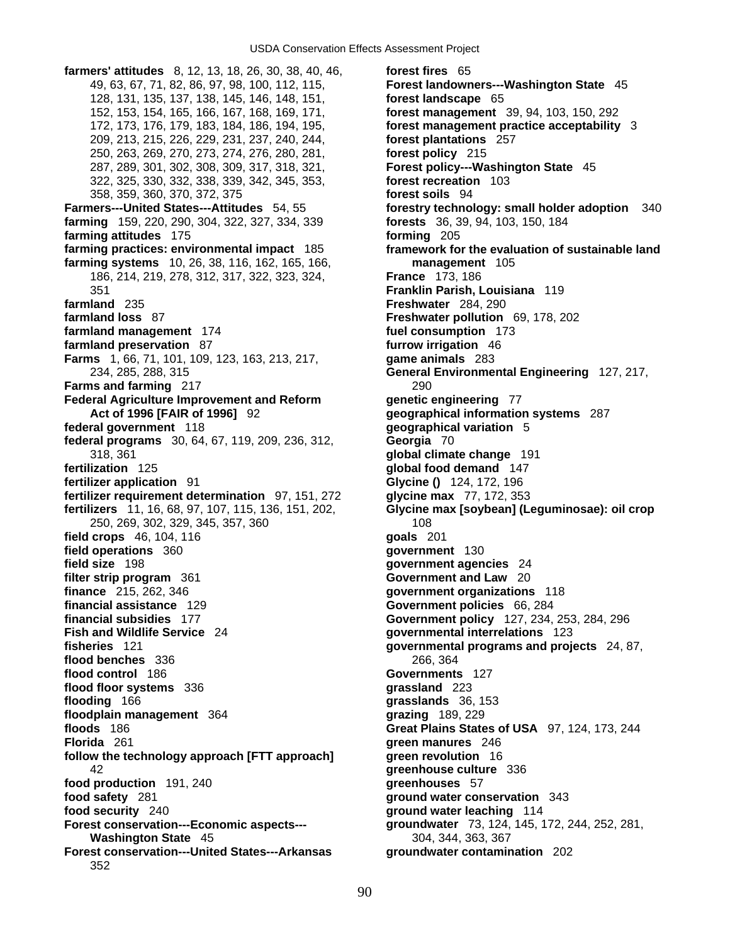**farmers' attitudes** 8, 12, 13, 18, 26, 30, 38, 40, 46, **forest fires** 65 49, 63, 67, 71, 82, 86, 97, 98, 100, 112, 115, **Forest landowners---Washington State** 45 128, 131, 135, 137, 138, 145, 146, 148, 151, **forest landscape** 65 152, 153, 154, 165, 166, 167, 168, 169, 171, **forest management** 39, 94, 103, 150, 292 172, 173, 176, 179, 183, 184, 186, 194, 195, **forest management practice acceptability** 3 209, 213, 215, 226, 229, 231, 237, 240, 244, **forest plantations** 257 250, 263, 269, 270, 273, 274, 276, 280, 281, **forest policy** 215 287, 289, 301, 302, 308, 309, 317, 318, 321, **Forest policy---Washington State** 45 322, 325, 330, 332, 338, 339, 342, 345, 353, **forest recreation** 103 358, 359, 360, 370, 372, 375 **forest soils** 94 **Farmers---United States---Attitudes** 54, 55 **forestry technology: small holder adoption** 340 **farming** 159, 220, 290, 304, 322, 327, 334, 339 **forests** 36, 39, 94, 103, 150, 184 **farming attitudes** 175 **forming** 205 **farming practices: environmental impact** 185 **framework for the evaluation of sustainable land farming systems** 10, 26, 38, 116, 162, 165, 166, **management** 105 186, 214, 219, 278, 312, 317, 322, 323, 324, **France** 173, 186 351 **Franklin Parish, Louisiana** 119 **farmland** 235 **Freshwater** 284, 290 **farmland loss** 87 **Freshwater pollution** 69, 178, 202 **farmland management** 174 **fuel consumption** 173 **farmland preservation** 87 **furrow irrigation** 46 **Farms** 1, 66, 71, 101, 109, 123, 163, 213, 217, **game animals** 283 **Farms and farming** 217 290 **Federal Agriculture Improvement and Reform genetic engineering** 77 **Act of 1996 [FAIR of 1996]** 92 **geographical information systems** 287 **federal government** 118 **geographical variation** 5 **federal programs** 30, 64, 67, 119, 209, 236, 312, **Georgia** 70 318, 361 **global climate change** 191 **fertilization** 125 **global food demand** 147 **fertilizer application** 91 **Glycine ()** 124, 172, 196 **fertilizer requirement determination** 97, 151, 272 **glycine max** 77, 172, 353 **fertilizers** 11, 16, 68, 97, 107, 115, 136, 151, 202, **Glycine max [soybean] (Leguminosae): oil crop** 250, 269, 302, 329, 345, 357, 360 108 **field crops** 46, 104, 116 **goals** 201 **field operations** 360 **government** 130 **field size** 198 **government agencies** 24 **filter strip program** 361 **Government and Law** 20 **finance** 215, 262, 346 **government organizations** 118 **financial assistance** 129 **Government policies** 66, 284 **financial subsidies** 177 **Government policy** 127, 234, 253, 284, 296 **fisheries** 121 **governmental programs and projects** 24, 87, **flood benches** 336 266, 364 **flood control** 186 **Governments** 127 **flood floor systems** 336 **grassland** 223 **flooding** 166 **grasslands** 36, 153 **floodplain management** 364 **grazing** 189, 229 **floods** 186 **Great Plains States of USA** 97, 124, 173, 244 **Florida** 261 **green manures** 246 **follow the technology approach [FTT approach] green revolution** 16 42 **greenhouse culture** 336 **food production** 191, 240 **greenhouses** 57 **food safety** 281 **ground water conservation** 343 **food security** 240 **ground water leaching** 114 **Forest conservation---Economic aspects--- groundwater** 73, 124, 145, 172, 244, 252, 281, **Washington State** 45 **304, 344, 363, 367 Forest conservation---United States---Arkansas groundwater contamination** 202 352

90

234, 285, 288, 315 **General Environmental Engineering** 127, 217, **Fish and Wildlife Service** 24 **governmental interrelations** 123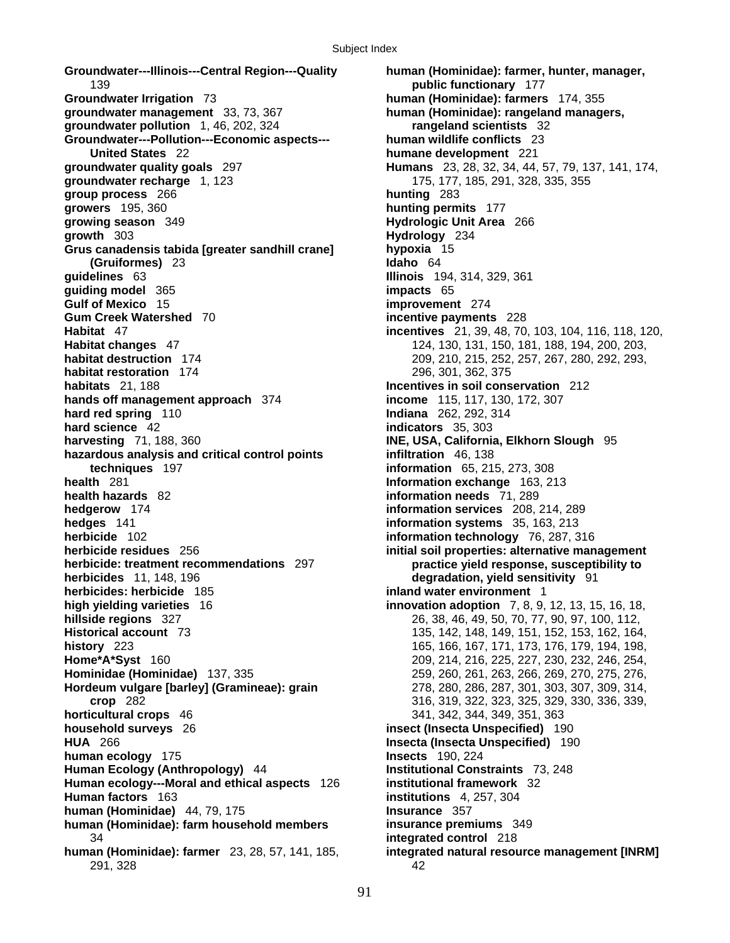**Groundwater---Illinois---Central Region---Quality human (Hominidae): farmer, hunter, manager,**  139 **public functionary** 177 **Groundwater Irrigation** 73 **human (Hominidae): farmers** 174, 355 **groundwater management** 33, 73, 367 **human (Hominidae): rangeland managers, groundwater pollution** 1, 46, 202, 324 **rangeland scientists** 32 **Groundwater---Pollution---Economic aspects--- human wildlife conflicts** 23 **United States** 22 **humane development** 221 **groundwater quality goals** 297 **Humans** 23, 28, 32, 34, 44, 57, 79, 137, 141, 174, **groundwater recharge** 1, 123 175, 177, 185, 291, 328, 335, 355 **group process** 266 **hunting** 283 **growers** 195, 360 **hunting permits** 177 **growth** 303 **Hydrology** 234 **Grus canadensis tabida [greater sandhill crane] hypoxia** 15 **(Gruiformes)** 23 **Idaho** 64 **guidelines** 63 **Illinois** 194, 314, 329, 361 **guiding model** 365 **impacts** 65 **Gulf of Mexico** 15 **improvement** 274 **Gum Creek Watershed** 70 **incentive payments** 228 **Habitat** 47 **incentives** 21, 39, 48, 70, 103, 104, 116, 118, 120, **Habitat changes** 47 124, 130, 131, 150, 181, 188, 194, 200, 203, **habitat destruction** 174 209, 210, 215, 252, 257, 267, 280, 292, 293, **habitat restoration** 174 296, 301, 362, 375 **habitats** 21, 188 **Incentives in soil conservation** 212 **hands off management approach** 374 **income** 115, 117, 130, 172, 307 **hard red spring** 110 **Indiana** 262, 292, 314 **hard science** 42 **indicators** 35, 303 **harvesting** 71, 188, 360 **INE, USA, California, Elkhorn Slough** 95 **hazardous analysis and critical control points infiltration** 46, 138 **techniques** 197 **information** 65, 215, 273, 308 **health** 281 **Information exchange** 163, 213 **health hazards** 82 **information needs** 71, 289 **hedgerow** 174 **information services** 208, 214, 289 **hedges** 141 **information systems** 35, 163, 213 **herbicide** 102 **information technology** 76, 287, 316 **herbicide residues** 256 **initial soil properties: alternative management herbicide: treatment recommendations** 297 **practice yield response, susceptibility to herbicides** 11, 148, 196 **degradation, yield sensitivity** 91 **herbicides: herbicide** 185 **inland water environment** 1 **high yielding varieties** 16 **innovation adoption** 7, 8, 9, 12, 13, 15, 16, 18, **hillside regions** 327 26, 38, 46, 49, 50, 70, 77, 90, 97, 100, 112, **Historical account** 73 135, 142, 148, 149, 151, 152, 153, 162, 164, **history** 223 165, 166, 167, 171, 173, 176, 179, 194, 198, **Home\*A\*Syst** 160 209, 214, 216, 225, 227, 230, 232, 246, 254, **Hominidae (Hominidae)** 137, 335 259, 260, 261, 263, 266, 269, 270, 275, 276, **Hordeum vulgare [barley] (Gramineae): grain** 278, 280, 286, 287, 301, 303, 307, 309, 314, **horticultural crops** 46 341, 342, 344, 349, 351, 363 **household surveys** 26 **insect (Insecta Unspecified)** 190 **HUA** 266 **Insecta (Insecta Unspecified)** 190 **human ecology** 175 **Insects** 190, 224 **Human Ecology (Anthropology)** 44 **Institutional Constraints** 73, 248 **Human ecology---Moral and ethical aspects** 126 **institutional framework** 32 **human (Hominidae)** 44, 79, 175 **Insurance** 357 **human (Hominidae): farm household members insurance premiums** 349 34 **integrated control** 218 **human (Hominidae): farmer** 23, 28, 57, 141, 185, **integrated natural resource management [INRM]** 291, 328 42

**Hydrologic Unit Area 266 crop** 282 316, 319, 322, 323, 325, 329, 330, 336, 339, **institutions** 4, 257, 304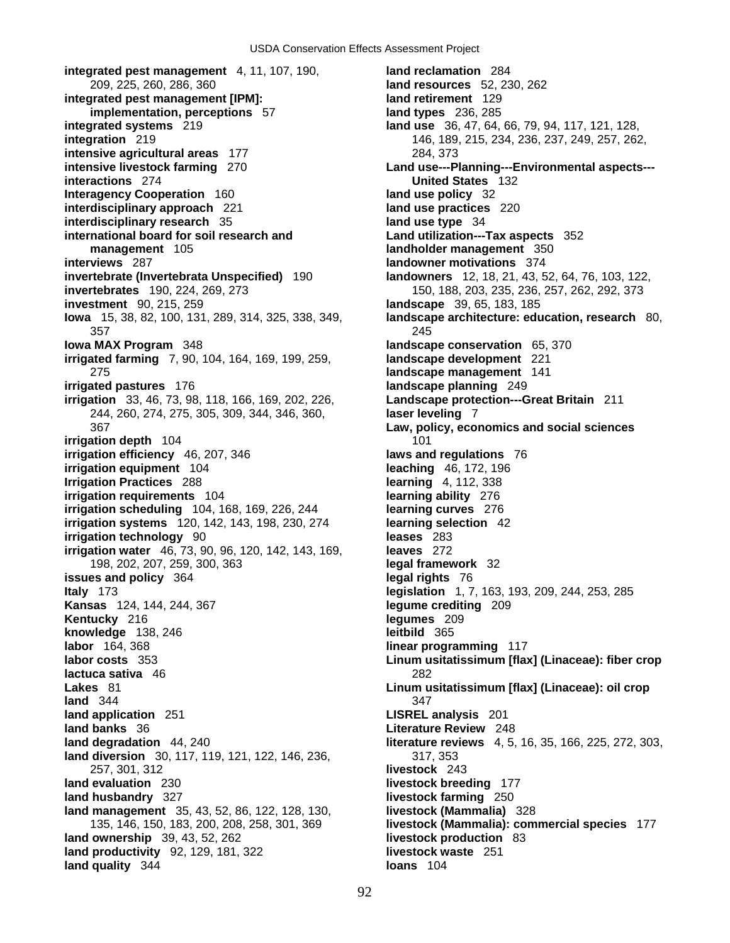**integrated pest management** 4, 11, 107, 190, **land reclamation** 284 209, 225, 260, 286, 360 **land resources** 52, 230, 262 **integrated pest management [IPM]: land retirement** 129 **implementation, perceptions** 57 **land types** 236, 285 **integrated systems** 219 **land use** 36, 47, 64, 66, 79, 94, 117, 121, 128, **integration** 219 146, 189, 215, 234, 236, 237, 249, 257, 262, **intensive agricultural areas** 177 284, 373 **intensive livestock farming** 270 **Land use---Planning---Environmental aspects-- interactions** 274 **United States** 132 **Interagency Cooperation** 160 **land use policy** 32 **interdisciplinary approach** 221 **land use practices** 220 **interdisciplinary research** 35 **land use type** 34 **international board for soil research and Land utilization---Tax aspects** 352 **management** 105 **landholder management** 350 **interviews** 287 **landowner motivations** 374 **invertebrate (Invertebrata Unspecified)** 190 **landowners** 12, 18, 21, 43, 52, 64, 76, 103, 122, **invertebrates** 190, 224, 269, 273 150, 188, 203, 235, 236, 257, 262, 292, 373 **investment** 90, 215, 259 **landscape** 39, 65, 183, 185 **Iowa** 15, 38, 82, 100, 131, 289, 314, 325, 338, 349, **landscape architecture: education, research** 80, 357 245 **Iowa MAX Program** 348 **landscape conservation** 65, 370 **irrigated farming** 7, 90, 104, 164, 169, 199, 259, **landscape development** 221 275 **landscape management** 141 **irrigated pastures** 176 **landscape planning** 249 **irrigation** 33, 46, 73, 98, 118, 166, 169, 202, 226, **Landscape protection---Great Britain** 211 244, 260, 274, 275, 305, 309, 344, 346, 360, **laser leveling** 7 367 **Law, policy, economics and social sciences irrigation depth** 104 101 **irrigation efficiency** 46, 207, 346 **laws and regulations** 76 **irrigation equipment** 104 **leaching** 46, 172, 196 **Irrigation Practices** 288 **learning** 4, 112, 338 **irrigation requirements** 104 **learning ability** 276 **irrigation scheduling** 104, 168, 169, 226, 244 **learning curves** 276 **irrigation systems** 120, 142, 143, 198, 230, 274 **learning selection** 42 **irrigation technology** 90 **leases** 283 **irrigation water** 46, 73, 90, 96, 120, 142, 143, 169, **leaves** 272 198, 202, 207, 259, 300, 363 **legal framework** 32 **issues and policy** 364 **legal rights** 76 **Italy** 173 **legislation** 1, 7, 163, 193, 209, 244, 253, 285 **Kansas** 124, 144, 244, 367 **legume crediting** 209 **Kentucky** 216 **legumes** 209 **knowledge** 138, 246 **leitbild** 365 **labor** 164, 368 **linear programming** 117 **labor costs** 353 **Linum usitatissimum [flax] (Linaceae): fiber crop lactuca sativa** 46 **282 Lakes** 81 **Linum usitatissimum [flax] (Linaceae): oil crop land** 344 347 **land application** 251 **LISREL analysis** 201 **land banks** 36 **Literature Review** 248 **land degradation** 44, 240 **literature reviews** 4, 5, 16, 35, 166, 225, 272, 303, **land diversion** 30, 117, 119, 121, 122, 146, 236, 317, 353 257, 301, 312 **livestock** 243 **land evaluation** 230 **livestock breeding** 177 **land husbandry** 327 **livestock farming** 250 **land management** 35, 43, 52, 86, 122, 128, 130, **livestock (Mammalia)** 328 **land ownership** 39, 43, 52, 262 **livestock production** 83 **land productivity** 92, 129, 181, 322 **livestock waste** 251 **land quality** 344 **loans** 104

135, 146, 150, 183, 200, 208, 258, 301, 369 **livestock (Mammalia): commercial species** 177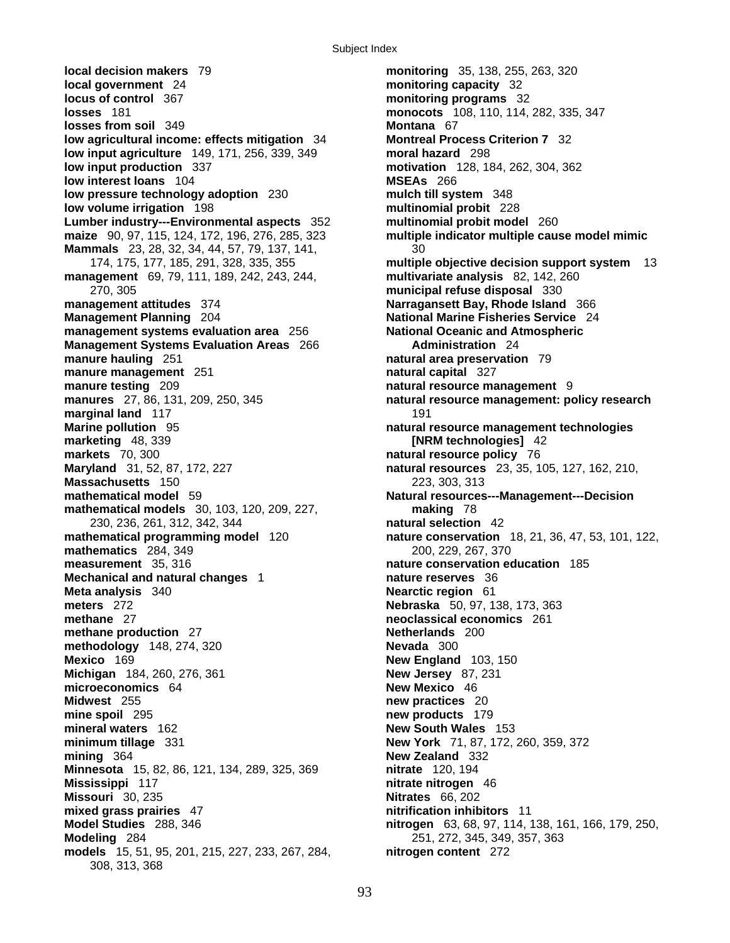**local decision makers** 79 **monitoring** 35, 138, 255, 263, 320 **local government** 24 **monitoring capacity** 32 **locus of control** 367 **monitoring programs** 32 **losses** 181 **monocots** 108, 110, 114, 282, 335, 347 **losses from soil** 349 **Montana** 67 **low agricultural income: effects mitigation** 34 **Montreal Process Criterion 7** 32 **low input agriculture** 149, 171, 256, 339, 349 **moral hazard** 298 **low input production** 337 **motivation** 128, 184, 262, 304, 362 **low interest loans** 104 **MSEAs** 266 **low pressure technology adoption** 230 **mulch till system** 348 **low volume irrigation** 198 **multinomial probit** 228 **Lumber industry---Environmental aspects** 352 **multinomial probit model** 260 **maize** 90, 97, 115, 124, 172, 196, 276, 285, 323 **multiple indicator multiple cause model mimic Mammals** 23, 28, 32, 34, 44, 57, 79, 137, 141, 30<br>174, 175, 177, 185, 291, 328, 335, 355 **management** 69, 79, 111, 189, 242, 243, 244, **multivariate analysis** 82, 142, 260 270, 305 **municipal refuse disposal** 330 **management attitudes** 374 **Narragansett Bay, Rhode Island** 366 **Management Planning** 204 **National Marine Fisheries Service** 24 **management systems evaluation area** 256 **National Oceanic and Atmospheric Management Systems Evaluation Areas** 266 **Administration** 24 **manure hauling** 251 **natural area preservation** 79 **manure management** 251 **natural capital** 327 **manure testing** 209 **natural resource management** 9 **manures** 27, 86, 131, 209, 250, 345 **natural resource management: policy research marginal land** 117 191 **Marine pollution** 95 **natural resource management technologies markets** 70, 300 **natural resource policy** 76 **Maryland** 31, 52, 87, 172, 227 **natural resources** 23, 35, 105, 127, 162, 210, **Massachusetts** 150 223, 303, 313 **mathematical model** 59 **Natural resources---Management---Decision mathematical models** 30, 103, 120, 209, 227, **making** 78 230, 236, 261, 312, 342, 344 **natural selection** 42 **mathematical programming model** 120 **nature conservation** 18, 21, 36, 47, 53, 101, 122, **mathematics** 284, 349 200, 229, 267, 370 **measurement** 35, 316 **nature conservation education** 185 **Mechanical and natural changes** 1 **nature reserves** 36 **Meta analysis** 340 **Nearctic region** 61 **meters** 272 **Nebraska** 50, 97, 138, 173, 363 **methane** 27 **neoclassical economics** 261 **methane production** 27 **Netherlands** 200 **methodology** 148, 274, 320 **Nevada** 300 **Mexico** 169 **New England** 103, 150 **Michigan** 184, 260, 276, 361 **New Jersey** 87, 231 **microeconomics** 64 **New Mexico** 46 **Midwest** 255 **new practices** 20 **mine spoil** 295 **new products** 179 **mineral waters** 162 **New South Wales** 153 **minimum tillage** 331 **New York** 71, 87, 172, 260, 359, 372 **mining** 364 **New Zealand** 332 **Minnesota** 15, 82, 86, 121, 134, 289, 325, 369 **nitrate** 120, 194 **Mississippi** 117 **nitrate nitrogen** 46 **Missouri** 30, 235 **Nitrates** 66, 202 **mixed grass prairies** 47 **nitrification inhibitors** 11 **Model Studies** 288, 346 **nitrogen** 63, 68, 97, 114, 138, 161, 166, 179, 250, **Modeling** 284 251, 272, 345, 349, 357, 363 **models** 15, 51, 95, 201, 215, 227, 233, 267, 284, **nitrogen content** 272 308, 313, 368

multiple objective decision support system 13 **[NRM technologies]** 42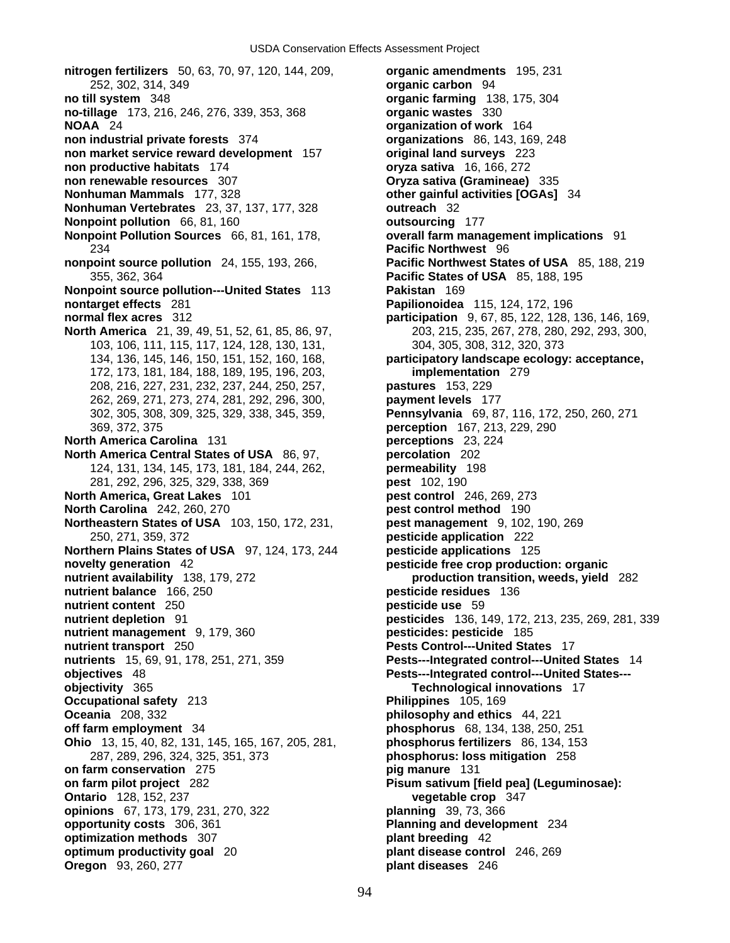**no till system** 348 **organic farming** 138, 175, 304 **no-tillage** 173, 216, 246, 276, 339, 353, 368 **organic wastes** 330 **NOAA** 24 **organization of work** 164 **non industrial private forests** 374 **organizations** 86, 143, 169, 248 **non market service reward development** 157 **original land surveys** 223 **non productive habitats** 174 **oryza sativa** 16, 166, 272 **non renewable resources** 307 **Oryza sativa (Gramineae)** 335 **Nonhuman Mammals** 177, 328 **other gainful activities [OGAs]** 34 **Nonhuman Vertebrates** 23, 37, 137, 177, 328 **outreach** 32 **Nonpoint pollution** 66, 81, 160 **outsourcing** 177 **Nonpoint Pollution Sources** 66, 81, 161, 178, **overall farm management implications** 91 234 **Pacific Northwest** 96 **nonpoint source pollution** 24, 155, 193, 266, **Pacific Northwest States of USA** 85, 188, 219 355, 362, 364 **Pacific States of USA** 85, 188, 195 **Nonpoint source pollution---United States** 113 **Pakistan** 169 **nontarget effects** 281 **Papilionoidea** 115, 124, 172, 196 **normal flex acres** 312 **participation** 9, 67, 85, 122, 128, 136, 146, 169, **North America** 21, 39, 49, 51, 52, 61, 85, 86, 97, 203, 215, 235, 267, 278, 280, 292, 293, 300, 103, 106, 111, 115, 117, 124, 128, 130, 131, 304, 305, 308, 312, 320, 373 134, 136, 145, 146, 150, 151, 152, 160, 168, **participatory landscape ecology: acceptance,**  172, 173, 181, 184, 188, 189, 195, 196, 203, **implementation** 279 208, 216, 227, 231, 232, 237, 244, 250, 257, **pastures** 153, 229 262, 269, 271, 273, 274, 281, 292, 296, 300, **payment levels** 177 302, 305, 308, 309, 325, 329, 338, 345, 359, **Pennsylvania** 69, 87, 116, 172, 250, 260, 271 369, 372, 375 **perception** 167, 213, 229, 290 **North America Carolina** 131 **perceptions** 23, 224 **North America Central States of USA** 86, 97, **percolation** 202 124, 131, 134, 145, 173, 181, 184, 244, 262, **permeability** 198 281, 292, 296, 325, 329, 338, 369 **pest** 102, 190 **North America, Great Lakes** 101 **pest control** 246, 269, 273 **North Carolina** 242, 260, 270 **pest control method** 190 **Northeastern States of USA** 103, 150, 172, 231, **pest management** 9, 102, 190, 269 250, 271, 359, 372 **pesticide application** 222 **Northern Plains States of USA** 97, 124, 173, 244 **pesticide applications** 125 **novelty generation** 42 **pesticide free crop production: organic nutrient availability** 138, 179, 272 **production transition, weeds, yield** 282 **nutrient balance** 166, 250 **pesticide residues** 136 **nutrient content** 250 **pesticide use** 59 **nutrient depletion** 91 **pesticides** 136, 149, 172, 213, 235, 269, 281, 339 **nutrient management** 9, 179, 360 **pesticides: pesticide** 185 **nutrient transport** 250 **Pests Control---United States** 17 **nutrients** 15, 69, 91, 178, 251, 271, 359 **Pests---Integrated control---United States** 14 **objectives** 48 **Pests---Integrated control---United States-- objectivity** 365 **Technological innovations** 17 **Occupational safety** 213 **Philippines** 105, 169 **Oceania** 208, 332 **philosophy and ethics** 44, 221 **off farm employment** 34 **phosphorus** 68, 134, 138, 250, 251 **Ohio** 13, 15, 40, 82, 131, 145, 165, 167, 205, 281, **phosphorus fertilizers** 86, 134, 153 287, 289, 296, 324, 325, 351, 373 **phosphorus: loss mitigation** 258 **on farm conservation** 275 **pig manure** 131 **on farm pilot project** 282 **Pisum sativum [field pea] (Leguminosae): Ontario** 128, 152, 237 **vegetable crop** 347 **opinions** 67, 173, 179, 231, 270, 322 **planning** 39, 73, 366 **opportunity costs** 306, 361 **Planning and development** 234 **optimization methods** 307 **plant breeding** 42 **optimum productivity goal** 20 **plant disease control** 246, 269 **Oregon** 93, 260, 277 **plant diseases** 246

**nitrogen fertilizers** 50, 63, 70, 97, 120, 144, 209, **organic amendments** 195, 231 252, 302, 314, 349 **organic carbon** 94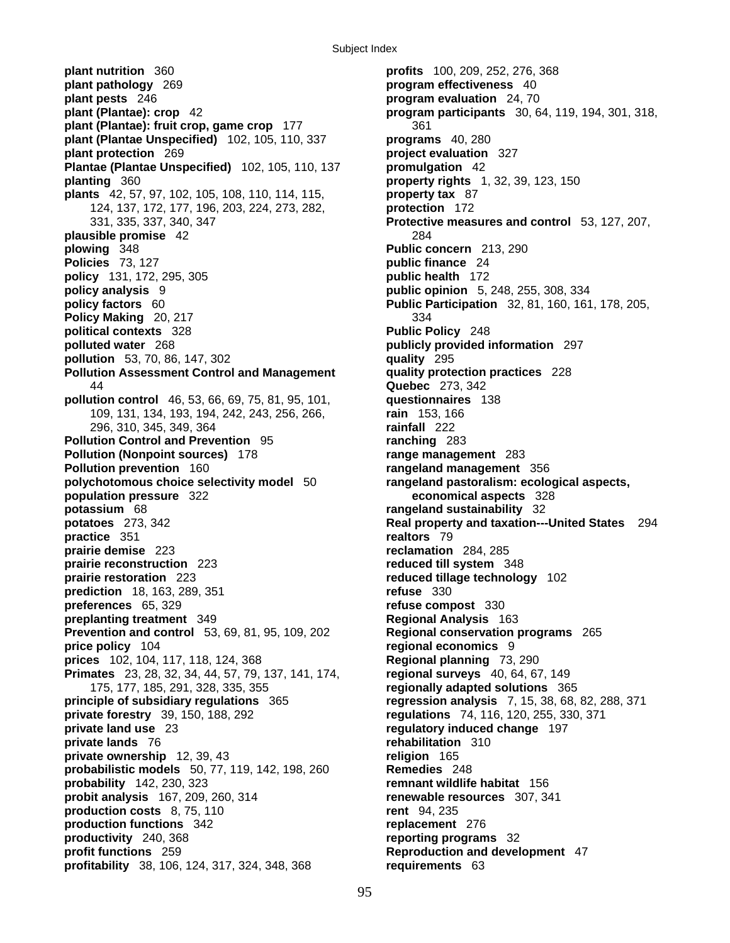Subject Index

**plant nutrition** 360 **profits** 100, 209, 252, 276, 368 **plant pathology** 269 **program effectiveness** 40 **plant pests** 246 **program evaluation** 24, 70 **plant (Plantae): crop** 42 **program participants** 30, 64, 119, 194, 301, 318, **plant (Plantae): fruit crop, game crop** 177 361 **plant (Plantae Unspecified)** 102, 105, 110, 337 **programs** 40, 280 **plant protection** 269 **project evaluation** 327 **Plantae (Plantae Unspecified)** 102, 105, 110, 137 **promulgation** 42 **planting** 360 **property rights** 1, 32, 39, 123, 150 **plants** 42, 57, 97, 102, 105, 108, 110, 114, 115, **property tax** 87 124, 137, 172, 177, 196, 203, 224, 273, 282, **protection** 172 331, 335, 337, 340, 347 **Protective measures and control** 53, 127, 207, **plausible promise** 42 284 **plowing** 348 **Public concern** 213, 290 **Policies** 73, 127 **public finance** 24 **policy** 131, 172, 295, 305 **public health** 172 **policy analysis** 9 **public opinion** 5, 248, 255, 308, 334 **policy factors** 60 **Public Participation** 32, 81, 160, 161, 178, 205, **Policy Making** 20, 217 **334 political contexts** 328 **Public Policy** 248 **polluted water** 268 **publicly provided information** 297 **pollution** 53, 70, 86, 147, 302 **quality** 295 **Pollution Assessment Control and Management quality protection practices** 228 44 **Quebec** 273, 342 **pollution control** 46, 53, 66, 69, 75, 81, 95, 101, **questionnaires** 138 109, 131, 134, 193, 194, 242, 243, 256, 266, **rain** 153, 166 296, 310, 345, 349, 364 **rainfall** 222 **Pollution Control and Prevention** 95 **ranching** 283 **Pollution (Nonpoint sources)** 178 **range management** 283 **Pollution prevention** 160 **rangeland management** 356 **polychotomous choice selectivity model** 50 **rangeland pastoralism: ecological aspects, population pressure** 322 **economical aspects** 328 **potassium** 68 **rangeland sustainability** 32 **potatoes** 273, 342 **Real property and taxation---United States** 294 **practice** 351 **realtors** 79<br>**prairie demise** 223 **reclamation prairie reconstruction** 223 **reduced till system** 348 **prairie restoration** 223 **reduced tillage technology** 102 **prediction** 18, 163, 289, 351 **refuse** 330 **preferences** 65, 329 **refuse compost** 330 **preplanting treatment** 349 **Regional Analysis** 163 **Prevention and control** 53, 69, 81, 95, 109, 202 **Regional conservation programs** 265 **price policy** 104 **regional economics** 9 **prices** 102, 104, 117, 118, 124, 368 **Regional planning** 73, 290 **Primates** 23, 28, 32, 34, 44, 57, 79, 137, 141, 174, **regional surveys** 40, 64, 67, 149 175, 177, 185, 291, 328, 335, 355 **regionally adapted solutions** 365 **principle of subsidiary regulations** 365 **regression analysis** 7, 15, 38, 68, 82, 288, 371 **private forestry** 39, 150, 188, 292 **regulations** 74, 116, 120, 255, 330, 371 **private land use** 23 **regulatory induced change** 197 **private lands** 76 **rehabilitation** 310 **private ownership** 12, 39, 43 **religion** 165 **probabilistic models** 50, 77, 119, 142, 198, 260 **Remedies** 248 **probability** 142, 230, 323 **remnant wildlife habitat** 156 **probit analysis** 167, 209, 260, 314 **renewable resources** 307, 341 **production costs** 8, 75, 110 **rent** 94, 235 **production functions** 342 **replacement** 276 **productivity** 240, 368 **reporting programs** 32 **profit functions** 259 **Reproduction and development** 47 **profitability** 38, 106, 124, 317, 324, 348, 368 **requirements** 63

**reclamation** 284, 285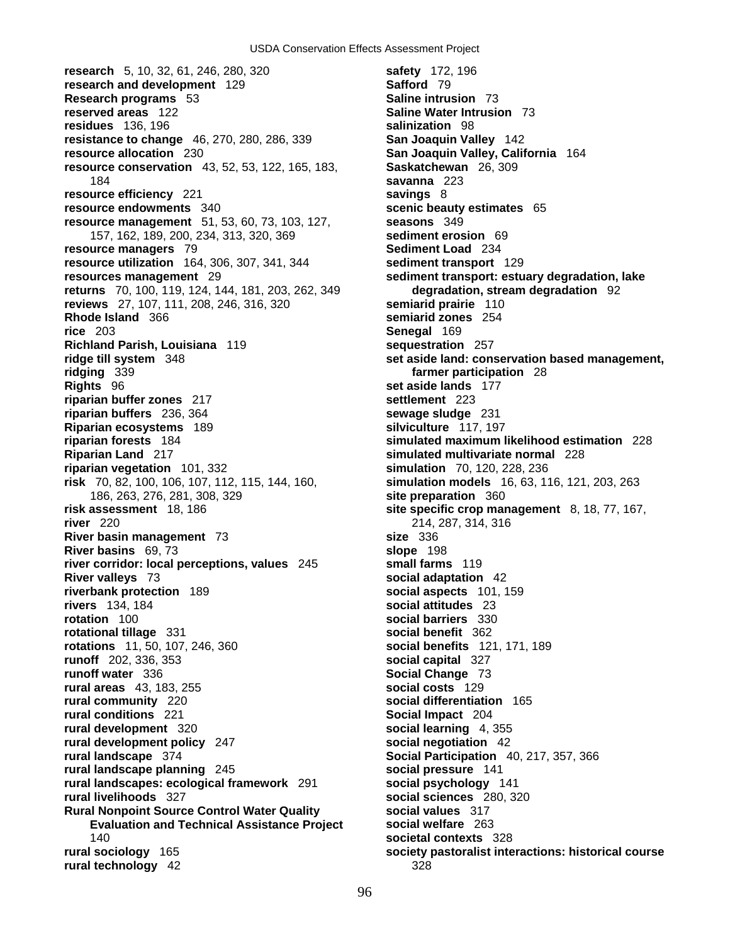**research** 5, 10, 32, 61, 246, 280, 320 **safety** 172, 196 **research and development** 129 **Safford** 79 **Research programs** 53 **Saline intrusion** 73 **reserved areas** 122 **Saline Water Intrusion** 73 **residues** 136, 196 **salinization** 98 **resistance to change** 46, 270, 280, 286, 339 **San Joaquin Valley** 142 **resource allocation** 230 **San Joaquin Valley, California** 164 **resource conservation** 43, 52, 53, 122, 165, 183, **Saskatchewan** 26, 309 184 **savanna** 223 **resource efficiency** 221 **savings** 8 **resource endowments** 340 **scenic beauty estimates** 65 **resource management** 51, 53, 60, 73, 103, 127, **seasons** 349 157, 162, 189, 200, 234, 313, 320, 369 **sediment erosion** 69 **resource managers** 79 **Sediment Load** 234 **resource utilization** 164, 306, 307, 341, 344 **sediment transport** 129 **resources management** 29 **sediment transport: estuary degradation, lake returns** 70, 100, 119, 124, 144, 181, 203, 262, 349 **degradation, stream degradation** 92 **reviews** 27, 107, 111, 208, 246, 316, 320 **semiarid prairie** 110 **Rhode Island** 366 **semiarid zones** 254 **rice** 203 **Senegal** 169 **Richland Parish, Louisiana** 119 **sequestration** 257 **ridge till system** 348 **set aside land: conservation based management, ridging** 339 **farmer participation** 28 **Rights** 96 **set aside lands** 177 **riparian buffer zones** 217 **settlement** 223 **riparian buffers** 236, 364 **sewage sludge** 231 **Riparian ecosystems** 189 **silviculture** 117, 197 **riparian forests** 184 **simulated maximum likelihood estimation** 228 **Riparian Land** 217 **simulated multivariate normal** 228 **riparian vegetation** 101, 332 **simulation** 70, 120, 228, 236 **risk** 70, 82, 100, 106, 107, 112, 115, 144, 160, **simulation models** 16, 63, 116, 121, 203, 263 186, 263, 276, 281, 308, 329 **site preparation** 360 **risk assessment** 18, 186 **site specific crop management** 8, 18, 77, 167, **river** 220 214, 287, 314, 316 **River basin management** 73 **size** 336 **River basins** 69, 73 **slope** 198 **river corridor: local perceptions, values** 245 **small farms** 119 **River valleys** 73 **social adaptation** 42 **riverbank protection** 189 **social aspects** 101, 159 **rivers** 134, 184 **social attitudes** 23 **rotation** 100 **social barriers** 330 **rotational tillage** 331 **social benefit** 362 **rotations** 11, 50, 107, 246, 360 **social benefits** 121, 171, 189 **runoff** 202, 336, 353 **social capital** 327 **runoff water** 336 **Social Change** 73 **rural areas** 43, 183, 255 **social costs** 129 **rural community** 220 **social differentiation** 165 **rural conditions** 221 **Social Impact** 204 **rural development** 320 **social learning** 4, 355 **rural development policy** 247 **social negotiation** 42 **rural landscape** 374 **Social Participation** 40, 217, 357, 366 **rural landscape planning** 245 **social pressure** 141 **rural landscapes: ecological framework** 291 **social psychology** 141 **rural livelihoods** 327 **social sciences** 280, 320 **Rural Nonpoint Source Control Water Quality social values** 317 **Evaluation and Technical Assistance Project social welfare** 263 140 **societal contexts** 328 **rural sociology** 165 **society pastoralist interactions: historical course rural technology** 42 328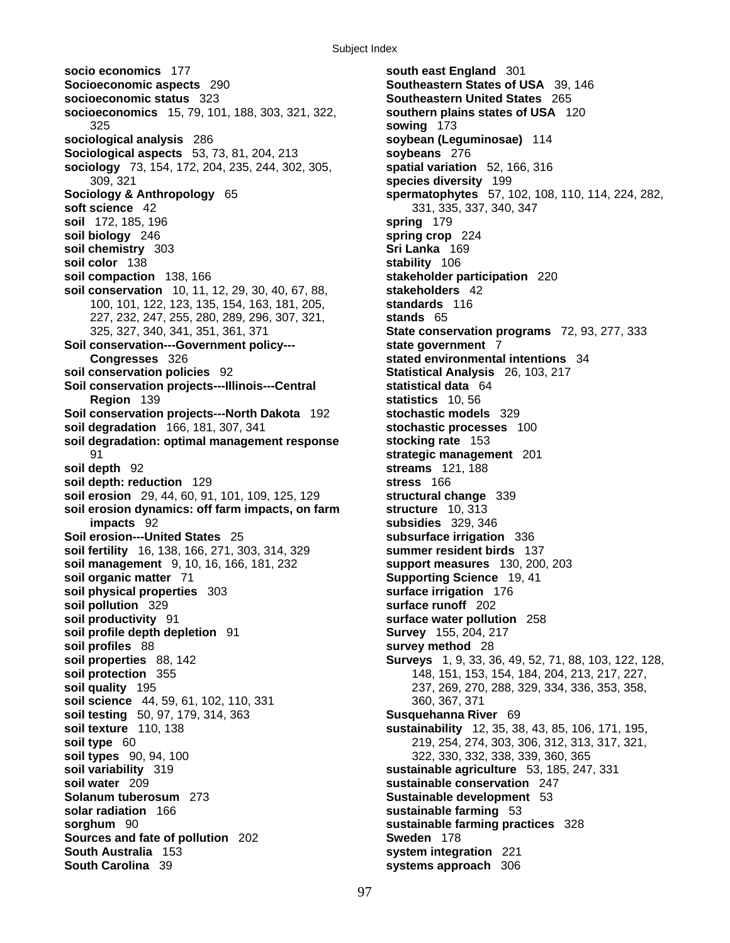**socio economics** 177 **south east England** 301 **Socioeconomic aspects** 290 **Southeastern States of USA** 39, 146 **socioeconomic status** 323 **Southeastern United States** 265 **socioeconomics** 15, 79, 101, 188, 303, 321, 322, **southern plains states of USA** 120 325 **sowing** 173 **sociological analysis** 286 **soybean (Leguminosae)** 114 **Sociological aspects** 53, 73, 81, 204, 213 **soybeans** 276 **sociology** 73, 154, 172, 204, 235, 244, 302, 305, **spatial variation** 52, 166, 316 309, 321 **species diversity** 199 **Sociology & Anthropology** 65 **spermatophytes** 57, 102, 108, 110, 114, 224, 282, **soft science** 42 331, 335, 337, 340, 347 **soil** 172, 185, 196 **spring** 179 **soil biology** 246 **spring crop** 224 **soil chemistry** 303 **Sri Lanka** 169 **soil color** 138 **stability** 106 **soil compaction** 138, 166 **stakeholder participation** 220 **soil conservation** 10, 11, 12, 29, 30, 40, 67, 88, **stakeholders** 42 100, 101, 122, 123, 135, 154, 163, 181, 205, **standards** 116 227, 232, 247, 255, 280, 289, 296, 307, 321, **stands** 65 **Soil conservation---Government policy--- state government** 7 **Congresses** 326 **stated environmental intentions** 34 **soil conservation policies** 92 **Statistical Analysis** 26, 103, 217 **Soil conservation projects---Illinois---Central example is statistical data** 64 **Region** 139 **statistics** 10, 56 **Soil conservation projects---North Dakota** 192 **stochastic models** 329 **soil degradation** 166, 181, 307, 341 **stochastic processes** 100 **soil degradation: optimal management response stocking rate** 153 91 **strategic management** 201 **soil depth** 92 **streams** 121, 188 **soil depth: reduction** 129 **stress** 166 **soil erosion** 29, 44, 60, 91, 101, 109, 125, 129 **structural change** 339 **soil erosion dynamics: off farm impacts, on farm structure** 10, 313 **impacts** 92 **subsidies** 329, 346 **Soil erosion---United States** 25 **subsurface irrigation** 336 **soil fertility** 16, 138, 166, 271, 303, 314, 329 **soil management** 9, 10, 16, 166, 181, 232 **support measures** 130, 200, 203 **soil organic matter** 71 **Supporting Science** 19, 41 **soil physical properties** 303 **surface irrigation** 176 **soil pollution** 329 **surface runoff** 202 **soil productivity** 91 **surface water pollution** 258 **soil profile depth depletion** 91 **Survey** 155, 204, 217 **soil profiles** 88 **survey method** 28 **soil properties** 88, 142 **Surveys** 1, 9, 33, 36, 49, 52, 71, 88, 103, 122, 128, **soil protection** 355 148, 151, 153, 154, 184, 204, 213, 217, 227, **soil quality** 195 237, 269, 270, 288, 329, 334, 336, 353, 358, **soil science** 44, 59, 61, 102, 110, 331 360, 367, 371 **soil testing** 50, 97, 179, 314, 363 **Susquehanna River** 69 **soil type** 60 219, 254, 274, 303, 306, 312, 313, 317, 321, **soil types** 90, 94, 100 322, 330, 332, 338, 339, 360, 365 **soil variability** 319 **sustainable agriculture** 53, 185, 247, 331 **soil water** 209 **sustainable conservation** 247 **Solanum tuberosum** 273 **Sustainable development** 53 **solar radiation** 166 **sustainable farming** 53 **sorghum** 90 **sustainable farming practices** 328 **Sources and fate of pollution** 202 **Sweden** 178 **South Australia** 153 **system integration** 221 **South Carolina** 39 **systems approach** 306

325, 327, 340, 341, 351, 361, 371 **State conservation programs** 72, 93, 277, 333 **sustainability** 12, 35, 38, 43, 85, 106, 171, 195,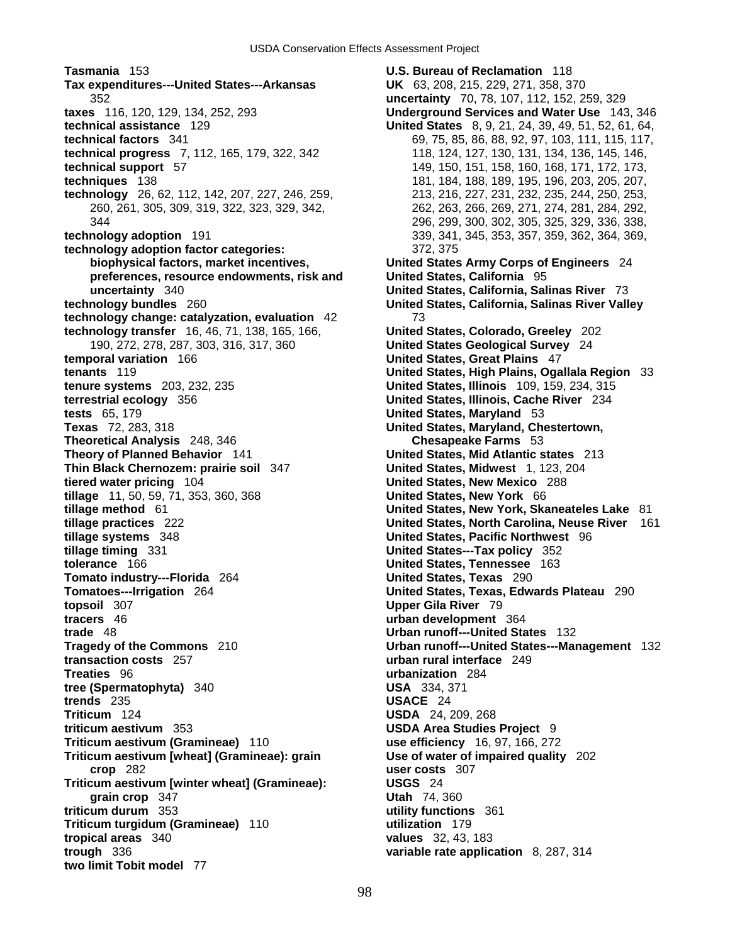**Tasmania** 153 **U.S. Bureau of Reclamation** 118 **Tax expenditures---United States---Arkansas UK** 63, 208, 215, 229, 271, 358, 370 352 **uncertainty** 70, 78, 107, 112, 152, 259, 329 **taxes** 116, 120, 129, 134, 252, 293 **Underground Services and Water Use** 143, 346 **technical assistance** 129 **United States** 8, 9, 21, 24, 39, 49, 51, 52, 61, 64, **technical factors** 341 69, 75, 85, 86, 88, 92, 97, 103, 111, 115, 117, **technical progress** 7, 112, 165, 179, 322, 342 118, 124, 127, 130, 131, 134, 136, 145, 146, **technical support** 57 149, 150, 151, 158, 160, 168, 171, 172, 173, **techniques** 138 181, 184, 188, 189, 195, 196, 203, 205, 207, **technology** 26, 62, 112, 142, 207, 227, 246, 259, 213, 216, 227, 231, 232, 235, 244, 250, 253, **technology adoption** 191 339, 341, 345, 353, 357, 359, 362, 364, 369, **technology adoption factor categories:** 372, 375 **biophysical factors, market incentives, United States Army Corps of Engineers** 24 **preferences, resource endowments, risk and United States, California** 95 **uncertainty** 340 **United States, California, Salinas River** 73 **technology change: catalyzation, evaluation** 42 73 **technology transfer** 16, 46, 71, 138, 165, 166, **United States, Colorado, Greeley** 202 190, 272, 278, 287, 303, 316, 317, 360 **United States Geological Survey** 24 **temporal variation** 166 **United States, Great Plains** 47 **tenants** 119 **United States, High Plains, Ogallala Region** 33 **tenure systems** 203, 232, 235 **United States, Illinois** 109, 159, 234, 315 **terrestrial ecology** 356 **United States, Illinois, Cache River** 234 **tests** 65, 179 **United States, Maryland** 53 **Texas** 72, 283, 318 **United States, Maryland, Chestertown, Theoretical Analysis** 248, 346 **Chesapeake Farms** 53 **Theory of Planned Behavior** 141 **United States, Mid Atlantic states** 213 **Thin Black Chernozem: prairie soil** 347 **United States, Midwest** 1, 123, 204 **tiered water pricing** 104 **United States, New Mexico** 288 **tillage** 11, 50, 59, 71, 353, 360, 368 **United States, New York** 66 **tillage method** 61 **United States, New York, Skaneateles Lake** 81 **tillage practices** 222 **United States, North Carolina, Neuse River** 161 **tillage systems** 348 **United States, Pacific Northwest** 96 **tillage timing** 331 **United States---Tax policy** 352 **tolerance** 166 **United States, Tennessee** 163 **Tomato industry---Florida** 264 **United States, Texas** 290 **Tomatoes---Irrigation** 264 **United States, Texas, Edwards Plateau** 290 **topsoil** 307 **Upper Gila River** 79 **tracers** 46 **urban development** 364 **trade** 48 **Urban runoff---United States** 132 **Tragedy of the Commons** 210 **Urban runoff---United States---Management** 132 **transaction costs** 257 **urban rural interface** 249 **Treaties** 96 **urbanization** 284 **tree (Spermatophyta)** 340 **USA** 334, 371 **trends** 235 **USACE** 24 **Triticum** 124 **USDA** 24, 209, 268 **triticum aestivum** 353 **USDA Area Studies Project** 9 **Triticum aestivum (Gramineae)** 110 **use efficiency** 16, 97, 166, 272 **Triticum aestivum [wheat] (Gramineae): grain Use of water of impaired quality** 202 **crop** 282 **user costs** 307 **Triticum aestivum [winter wheat] (Gramineae): USGS** 24 **grain crop** 347 **Utah** 74, 360 **triticum durum** 353 **utility functions** 361 **Triticum turgidum (Gramineae)** 110 **utilization** 179 **tropical areas** 340 **values** 32, 43, 183 **trough** 336 **variable rate application** 8, 287, 314 **two limit Tobit model** 77

260, 261, 305, 309, 319, 322, 323, 329, 342, 262, 263, 266, 269, 271, 274, 281, 284, 292, 344 296, 299, 300, 302, 305, 325, 329, 336, 338, **United States, California, Salinas River Valley**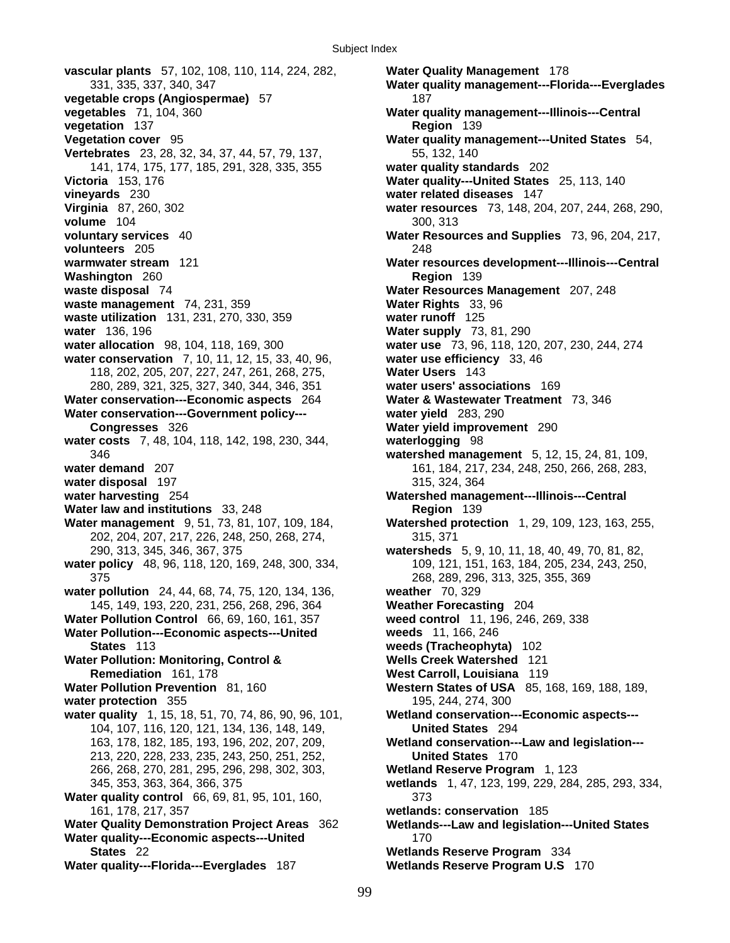**vascular plants** 57, 102, 108, 110, 114, 224, 282, **Water Quality Management** 178 **vegetable crops (Angiospermae)** 57 187 **vegetables** 71, 104, 360 **Water quality management---Illinois---Central vegetation** 137 **Region** 139 **Vegetation cover** 95 **Water quality management---United States** 54, **Vertebrates** 23, 28, 32, 34, 37, 44, 57, 79, 137, 55, 132, 140 141, 174, 175, 177, 185, 291, 328, 335, 355 **water quality standards** 202 **Victoria** 153, 176 **Water quality---United States** 25, 113, 140 **vineyards** 230 **water related diseases** 147 **Virginia** 87, 260, 302 **water resources** 73, 148, 204, 207, 244, 268, 290, **volume** 104 300, 313 **voluntary services** 40 **Water Resources and Supplies** 73, 96, 204, 217, **volunteers** 205 248 **warmwater stream** 121 **Water resources development---Illinois---Central Washington** 260 **Region** 139 **waste disposal** 74 **Water Resources Management** 207, 248 **waste management** 74, 231, 359 **Water Rights** 33, 96 **waste utilization** 131, 231, 270, 330, 359 **water runoff** 125 **water** 136, 196 **Water supply** 73, 81, 290 **water allocation** 98, 104, 118, 169, 300 **water use** 73, 96, 118, 120, 207, 230, 244, 274 **water conservation** 7, 10, 11, 12, 15, 33, 40, 96, **water use efficiency** 33, 46 118, 202, 205, 207, 227, 247, 261, 268, 275, **Water Users** 143 280, 289, 321, 325, 327, 340, 344, 346, 351 **water users' associations** 169 **Water conservation---Economic aspects** 264 **Water & Wastewater Treatment** 73, 346 **Water conservation---Government policy--- water yield** 283, 290 **Congresses** 326 **Water yield improvement** 290 **water costs** 7, 48, 104, 118, 142, 198, 230, 344, **waterlogging** 98 **water demand** 207 161, 184, 217, 234, 248, 250, 266, 268, 283, **water disposal** 197 **315, 324, 364 water harvesting** 254 **Watershed management---Illinois---Central Water law and institutions** 33, 248 **Region** 139 **Water management** 9, 51, 73, 81, 107, 109, 184, **Watershed protection** 1, 29, 109, 123, 163, 255, 202, 204, 207, 217, 226, 248, 250, 268, 274, 315, 371 water policy 48, 96, 118, 120, 169, 248, 300, 334, 109, 121, 151, 163, 184, 205, 234, 243, 250, 375 268, 289, 296, 313, 325, 355, 369 **water pollution** 24, 44, 68, 74, 75, 120, 134, 136, **weather** 70, 329 145, 149, 193, 220, 231, 256, 268, 296, 364 **Weather Forecasting** 204 **Water Pollution Control** 66, 69, 160, 161, 357 **weed control** 11, 196, 246, 269, 338 **Water Pollution---Economic aspects---United weeds** 11, 166, 246 **States** 113 **weeds (Tracheophyta)** 102 **Water Pollution: Monitoring, Control & Wells Creek Watershed** 121 **Remediation** 161, 178 **West Carroll, Louisiana** 119 **Water Pollution Prevention** 81, 160 **Western States of USA** 85, 168, 169, 188, 189, **water protection** 355 195, 244, 274, 300 **water quality** 1, 15, 18, 51, 70, 74, 86, 90, 96, 101, **Wetland conservation---Economic aspects---** 104, 107, 116, 120, 121, 134, 136, 148, 149, **United States** 294 213, 220, 228, 233, 235, 243, 250, 251, 252, **United States** 170 266, 268, 270, 281, 295, 296, 298, 302, 303, **Wetland Reserve Program** 1, 123 **Water quality control** 66, 69, 81, 95, 101, 160, 373 161, 178, 217, 357 **wetlands: conservation** 185 **Water Quality Demonstration Project Areas** 362 **Wetlands---Law and legislation---United States Water quality---Economic aspects---United** 170 **States** 22 **Wetlands Reserve Program** 334 **Water quality---Florida---Everglades** 187 **Wetlands Reserve Program U.S** 170

331, 335, 337, 340, 347 **Water quality management---Florida---Everglades** 346 **watershed management** 5, 12, 15, 24, 81, 109, 290, 313, 345, 346, 367, 375 **watersheds** 5, 9, 10, 11, 18, 40, 49, 70, 81, 82, 163, 178, 182, 185, 193, 196, 202, 207, 209, **Wetland conservation---Law and legislation---** 345, 353, 363, 364, 366, 375 **wetlands** 1, 47, 123, 199, 229, 284, 285, 293, 334,